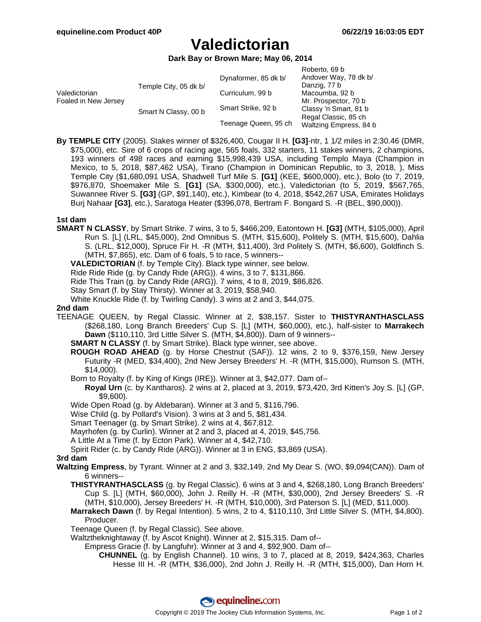# **Valedictorian**

**Dark Bay or Brown Mare; May 06, 2014**

|                                       |                       |                      | Roberto, 69 b          |
|---------------------------------------|-----------------------|----------------------|------------------------|
| Valedictorian<br>Foaled in New Jersey | Temple City, 05 dk b/ | Dynaformer, 85 dk b/ | Andover Way, 78 dk b/  |
|                                       |                       |                      | Danzig, 77 b           |
|                                       |                       | Curriculum, 99 b     | Macoumba, 92 b         |
|                                       |                       |                      | Mr. Prospector, 70 b   |
|                                       | Smart N Classy, 00 b  | Smart Strike, 92 b   | Classy 'n Smart, 81 b  |
|                                       |                       |                      | Regal Classic, 85 ch   |
|                                       |                       | Teenage Queen, 95 ch | Waltzing Empress, 84 b |

**By TEMPLE CITY** (2005). Stakes winner of \$326,400, Cougar II H. **[G3]**-ntr, 1 1/2 miles in 2:30.46 (DMR, \$75,000), etc. Sire of 6 crops of racing age, 565 foals, 332 starters, 11 stakes winners, 2 champions, 193 winners of 498 races and earning \$15,998,439 USA, including Templo Maya (Champion in Mexico, to 5, 2018, \$87,462 USA), Tirano (Champion in Dominican Republic, to 3, 2018, ), Miss Temple City (\$1,680,091 USA, Shadwell Turf Mile S. **[G1]** (KEE, \$600,000), etc.), Bolo (to 7, 2019, \$976,870, Shoemaker Mile S. **[G1]** (SA, \$300,000), etc.), Valedictorian (to 5, 2019, \$567,765, Suwannee River S. **[G3]** (GP, \$91,140), etc.), Kimbear (to 4, 2018, \$542,267 USA, Emirates Holidays Burj Nahaar **[G3]**, etc.), Saratoga Heater (\$396,078, Bertram F. Bongard S. -R (BEL, \$90,000)).

#### **1st dam**

**SMART N CLASSY**, by Smart Strike. 7 wins, 3 to 5, \$466,209, Eatontown H. **[G3]** (MTH, \$105,000), April Run S. [L] (LRL, \$45,000), 2nd Omnibus S. (MTH, \$15,600), Politely S. (MTH, \$15,600), Dahlia S. (LRL, \$12,000), Spruce Fir H. -R (MTH, \$11,400), 3rd Politely S. (MTH, \$6,600), Goldfinch S. (MTH, \$7,865), etc. Dam of 6 foals, 5 to race, 5 winners--

**VALEDICTORIAN** (f. by Temple City). Black type winner, see below.

Ride Ride Ride (g. by Candy Ride (ARG)). 4 wins, 3 to 7, \$131,866.

Ride This Train (g. by Candy Ride (ARG)). 7 wins, 4 to 8, 2019, \$86,826.

Stay Smart (f. by Stay Thirsty). Winner at 3, 2019, \$58,940.

White Knuckle Ride (f. by Twirling Candy). 3 wins at 2 and 3, \$44,075.

#### **2nd dam**

TEENAGE QUEEN, by Regal Classic. Winner at 2, \$38,157. Sister to **THISTYRANTHASCLASS** (\$268,180, Long Branch Breeders' Cup S. [L] (MTH, \$60,000), etc.), half-sister to **Marrakech Dawn** (\$110,110, 3rd Little Silver S. (MTH, \$4,800)). Dam of 9 winners--

**SMART N CLASSY** (f. by Smart Strike). Black type winner, see above.

- **ROUGH ROAD AHEAD** (g. by Horse Chestnut (SAF)). 12 wins, 2 to 9, \$376,159, New Jersey Futurity -R (MED, \$34,400), 2nd New Jersey Breeders' H. -R (MTH, \$15,000), Rumson S. (MTH, \$14,000).
- Born to Royalty (f. by King of Kings (IRE)). Winner at 3, \$42,077. Dam of--

**Royal Urn** (c. by Kantharos). 2 wins at 2, placed at 3, 2019, \$73,420, 3rd Kitten's Joy S. [L] (GP, \$9,600).

Wide Open Road (g. by Aldebaran). Winner at 3 and 5, \$116,796.

Wise Child (g. by Pollard's Vision). 3 wins at 3 and 5, \$81,434.

Smart Teenager (g. by Smart Strike). 2 wins at 4, \$67,812.

Mayrhofen (g. by Curlin). Winner at 2 and 3, placed at 4, 2019, \$45,756.

A Little At a Time (f. by Ecton Park). Winner at 4, \$42,710.

Spirit Rider (c. by Candy Ride (ARG)). Winner at 3 in ENG, \$3,869 (USA).

#### **3rd dam**

- **Waltzing Empress**, by Tyrant. Winner at 2 and 3, \$32,149, 2nd My Dear S. (WO, \$9,094(CAN)). Dam of 6 winners--
	- **THISTYRANTHASCLASS** (g. by Regal Classic). 6 wins at 3 and 4, \$268,180, Long Branch Breeders' Cup S. [L] (MTH, \$60,000), John J. Reilly H. -R (MTH, \$30,000), 2nd Jersey Breeders' S. -R (MTH, \$10,000), Jersey Breeders' H. -R (MTH, \$10,000), 3rd Paterson S. [L] (MED, \$11,000).
	- **Marrakech Dawn** (f. by Regal Intention). 5 wins, 2 to 4, \$110,110, 3rd Little Silver S. (MTH, \$4,800). Producer.

Teenage Queen (f. by Regal Classic). See above.

Waltztheknightaway (f. by Ascot Knight). Winner at 2, \$15,315. Dam of--

Empress Gracie (f. by Langfuhr). Winner at 3 and 4, \$92,900. Dam of--

**CHUNNEL** (g. by English Channel). 10 wins, 3 to 7, placed at 8, 2019, \$424,363, Charles Hesse III H. -R (MTH, \$36,000), 2nd John J. Reilly H. -R (MTH, \$15,000), Dan Horn H.